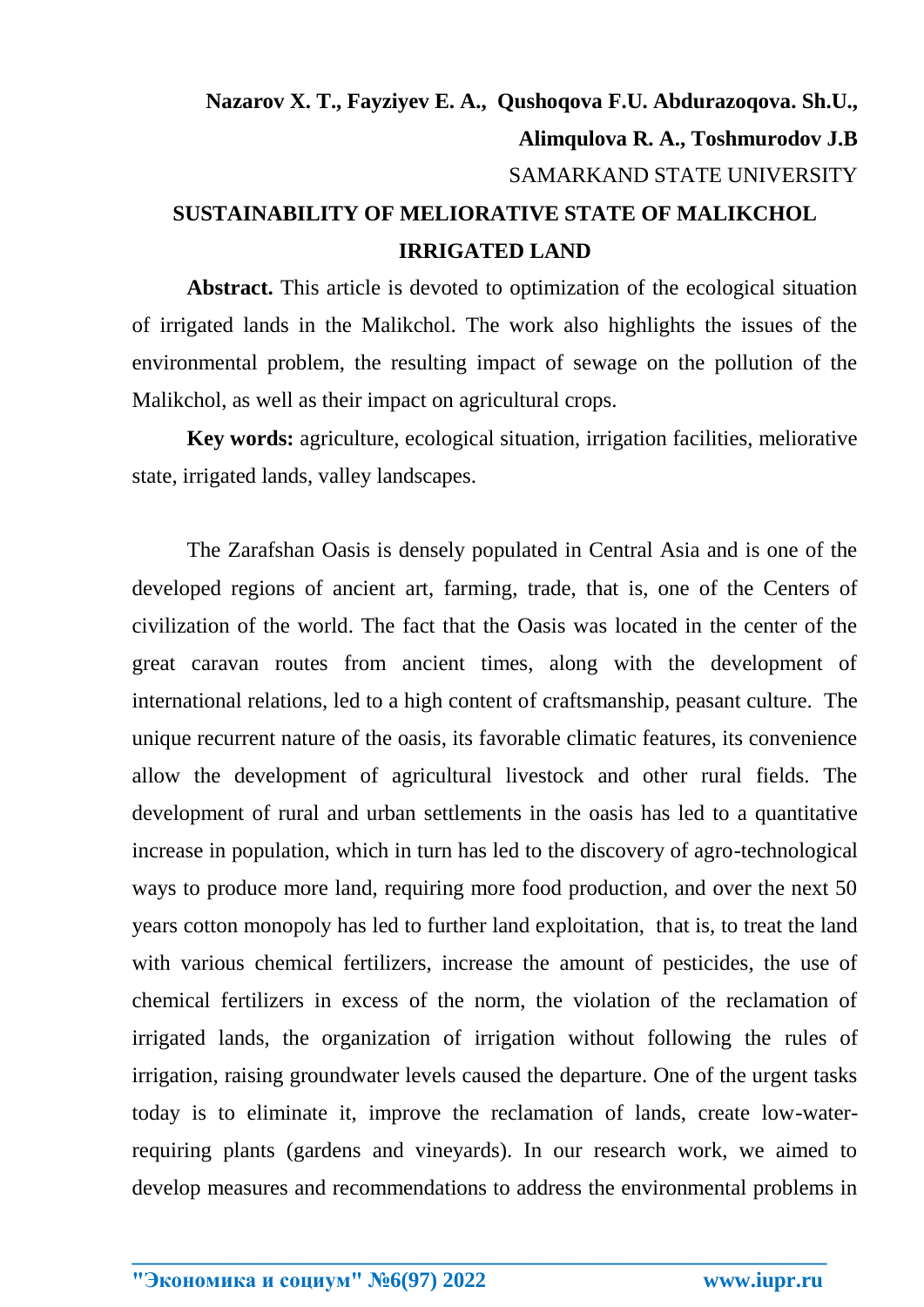## **Nazarov X. T., Fayziyev E. A., Qushoqova F.U. Abdurazoqova. Sh.U., Alimqulova R. A., Toshmurodov J.B** SAMARKAND STATE UNIVERSITY **SUSTAINABILITY OF MELIORATIVE STATE OF MALIKCHOL IRRIGATED LAND**

**Abstract.** This article is devoted to optimization of the ecological situation of irrigated lands in the Malikchol. The work also highlights the issues of the environmental problem, the resulting impact of sewage on the pollution of the Malikchol, as well as their impact on agricultural crops.

**Key words:** agriculture, ecological situation, irrigation facilities, meliorative state, irrigated lands, valley landscapes.

The Zarafshan Oasis is densely populated in Central Asia and is one of the developed regions of ancient art, farming, trade, that is, one of the Centers of civilization of the world. The fact that the Oasis was located in the center of the great caravan routes from ancient times, along with the development of international relations, led to a high content of craftsmanship, peasant culture. The unique recurrent nature of the oasis, its favorable climatic features, its convenience allow the development of agricultural livestock and other rural fields. The development of rural and urban settlements in the oasis has led to a quantitative increase in population, which in turn has led to the discovery of agro-technological ways to produce more land, requiring more food production, and over the next 50 years cotton monopoly has led to further land exploitation, that is, to treat the land with various chemical fertilizers, increase the amount of pesticides, the use of chemical fertilizers in excess of the norm, the violation of the reclamation of irrigated lands, the organization of irrigation without following the rules of irrigation, raising groundwater levels caused the departure. One of the urgent tasks today is to eliminate it, improve the reclamation of lands, create low-waterrequiring plants (gardens and vineyards). In our research work, we aimed to develop measures and recommendations to address the environmental problems in

**\_\_\_\_\_\_\_\_\_\_\_\_\_\_\_\_\_\_\_\_\_\_\_\_\_\_\_\_\_\_\_\_\_\_\_\_\_\_\_\_\_\_\_\_\_\_\_\_\_\_\_\_\_\_\_\_\_\_\_\_\_\_\_\_**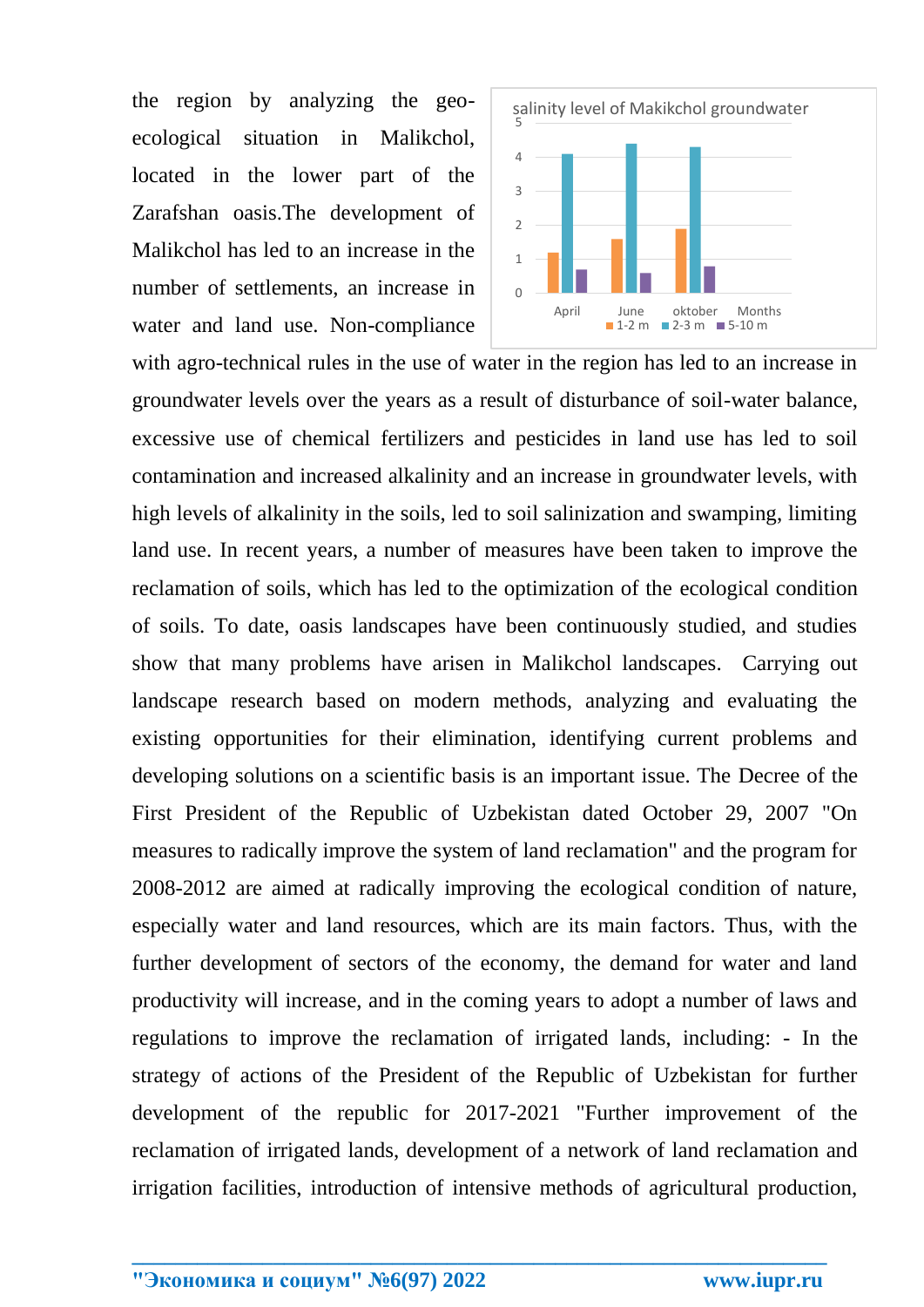the region by analyzing the geoecological situation in Malikchol, located in the lower part of the Zarafshan oasis.The development of Malikchol has led to an increase in the number of settlements, an increase in water and land use. Non-compliance



with agro-technical rules in the use of water in the region has led to an increase in groundwater levels over the years as a result of disturbance of soil-water balance, excessive use of chemical fertilizers and pesticides in land use has led to soil contamination and increased alkalinity and an increase in groundwater levels, with high levels of alkalinity in the soils, led to soil salinization and swamping, limiting land use. In recent years, a number of measures have been taken to improve the reclamation of soils, which has led to the optimization of the ecological condition of soils. To date, oasis landscapes have been continuously studied, and studies show that many problems have arisen in Malikchol landscapes. Carrying out landscape research based on modern methods, analyzing and evaluating the existing opportunities for their elimination, identifying current problems and developing solutions on a scientific basis is an important issue. The Decree of the First President of the Republic of Uzbekistan dated October 29, 2007 "On measures to radically improve the system of land reclamation" and the program for 2008-2012 are aimed at radically improving the ecological condition of nature, especially water and land resources, which are its main factors. Thus, with the further development of sectors of the economy, the demand for water and land productivity will increase, and in the coming years to adopt a number of laws and regulations to improve the reclamation of irrigated lands, including: - In the strategy of actions of the President of the Republic of Uzbekistan for further development of the republic for 2017-2021 "Further improvement of the reclamation of irrigated lands, development of a network of land reclamation and irrigation facilities, introduction of intensive methods of agricultural production,

**\_\_\_\_\_\_\_\_\_\_\_\_\_\_\_\_\_\_\_\_\_\_\_\_\_\_\_\_\_\_\_\_\_\_\_\_\_\_\_\_\_\_\_\_\_\_\_\_\_\_\_\_\_\_\_\_\_\_\_\_\_\_\_\_**